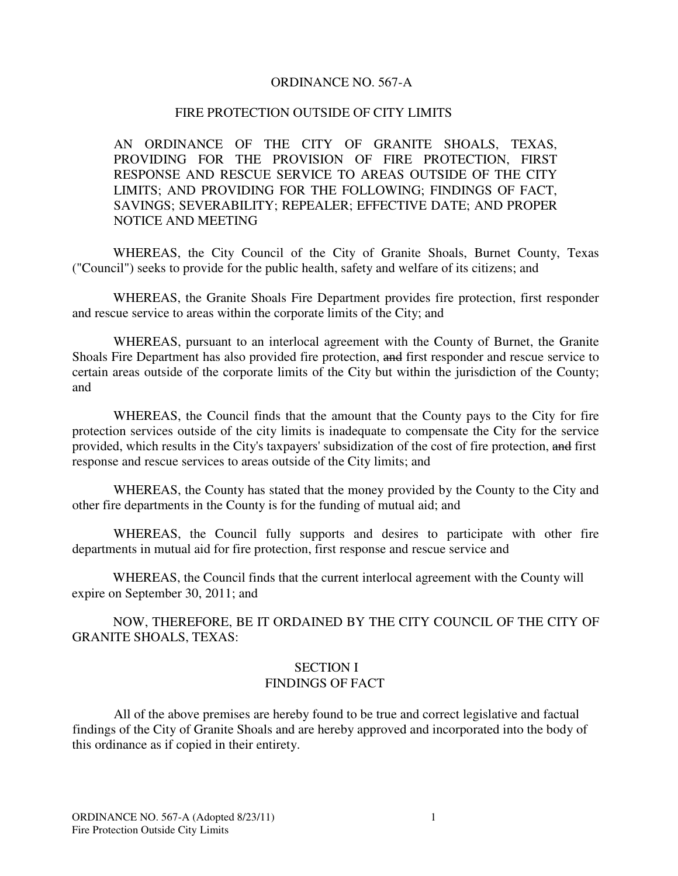#### ORDINANCE NO. 567-A

#### FIRE PROTECTION OUTSIDE OF CITY LIMITS

AN ORDINANCE OF THE CITY OF GRANITE SHOALS, TEXAS, PROVIDING FOR THE PROVISION OF FIRE PROTECTION, FIRST RESPONSE AND RESCUE SERVICE TO AREAS OUTSIDE OF THE CITY LIMITS; AND PROVIDING FOR THE FOLLOWING; FINDINGS OF FACT, SAVINGS; SEVERABILITY; REPEALER; EFFECTIVE DATE; AND PROPER NOTICE AND MEETING

WHEREAS, the City Council of the City of Granite Shoals, Burnet County, Texas ("Council") seeks to provide for the public health, safety and welfare of its citizens; and

WHEREAS, the Granite Shoals Fire Department provides fire protection, first responder and rescue service to areas within the corporate limits of the City; and

WHEREAS, pursuant to an interlocal agreement with the County of Burnet, the Granite Shoals Fire Department has also provided fire protection, and first responder and rescue service to certain areas outside of the corporate limits of the City but within the jurisdiction of the County; and

WHEREAS, the Council finds that the amount that the County pays to the City for fire protection services outside of the city limits is inadequate to compensate the City for the service provided, which results in the City's taxpayers' subsidization of the cost of fire protection, and first response and rescue services to areas outside of the City limits; and

WHEREAS, the County has stated that the money provided by the County to the City and other fire departments in the County is for the funding of mutual aid; and

WHEREAS, the Council fully supports and desires to participate with other fire departments in mutual aid for fire protection, first response and rescue service and

WHEREAS, the Council finds that the current interlocal agreement with the County will expire on September 30, 2011; and

NOW, THEREFORE, BE IT ORDAINED BY THE CITY COUNCIL OF THE CITY OF GRANITE SHOALS, TEXAS:

#### SECTION I FINDINGS OF FACT

All of the above premises are hereby found to be true and correct legislative and factual findings of the City of Granite Shoals and are hereby approved and incorporated into the body of this ordinance as if copied in their entirety.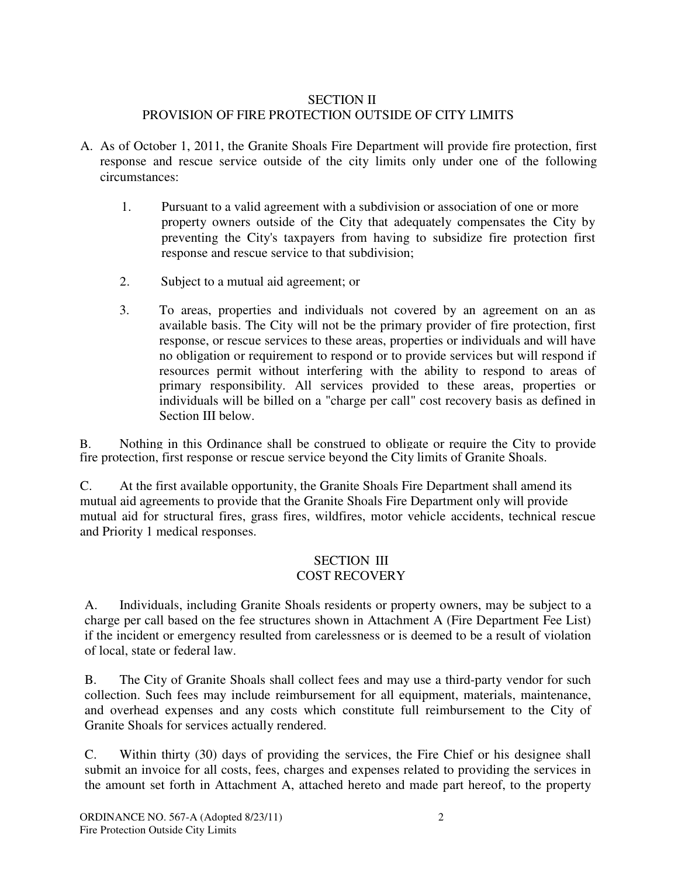## SECTION II PROVISION OF FIRE PROTECTION OUTSIDE OF CITY LIMITS

- A. As of October 1, 2011, the Granite Shoals Fire Department will provide fire protection, first response and rescue service outside of the city limits only under one of the following circumstances:
	- 1. Pursuant to a valid agreement with a subdivision or association of one or more property owners outside of the City that adequately compensates the City by preventing the City's taxpayers from having to subsidize fire protection first response and rescue service to that subdivision;
	- 2. Subject to a mutual aid agreement; or
	- 3. To areas, properties and individuals not covered by an agreement on an as available basis. The City will not be the primary provider of fire protection, first response, or rescue services to these areas, properties or individuals and will have no obligation or requirement to respond or to provide services but will respond if resources permit without interfering with the ability to respond to areas of primary responsibility. All services provided to these areas, properties or individuals will be billed on a "charge per call" cost recovery basis as defined in Section III below.

B. Nothing in this Ordinance shall be construed to obligate or require the City to provide fire protection, first response or rescue service beyond the City limits of Granite Shoals.

C. At the first available opportunity, the Granite Shoals Fire Department shall amend its mutual aid agreements to provide that the Granite Shoals Fire Department only will provide mutual aid for structural fires, grass fires, wildfires, motor vehicle accidents, technical rescue and Priority 1 medical responses.

# SECTION III COST RECOVERY

A. Individuals, including Granite Shoals residents or property owners, may be subject to a charge per call based on the fee structures shown in Attachment A (Fire Department Fee List) if the incident or emergency resulted from carelessness or is deemed to be a result of violation of local, state or federal law.

B. The City of Granite Shoals shall collect fees and may use a third-party vendor for such collection. Such fees may include reimbursement for all equipment, materials, maintenance, and overhead expenses and any costs which constitute full reimbursement to the City of Granite Shoals for services actually rendered.

C. Within thirty (30) days of providing the services, the Fire Chief or his designee shall submit an invoice for all costs, fees, charges and expenses related to providing the services in the amount set forth in Attachment A, attached hereto and made part hereof, to the property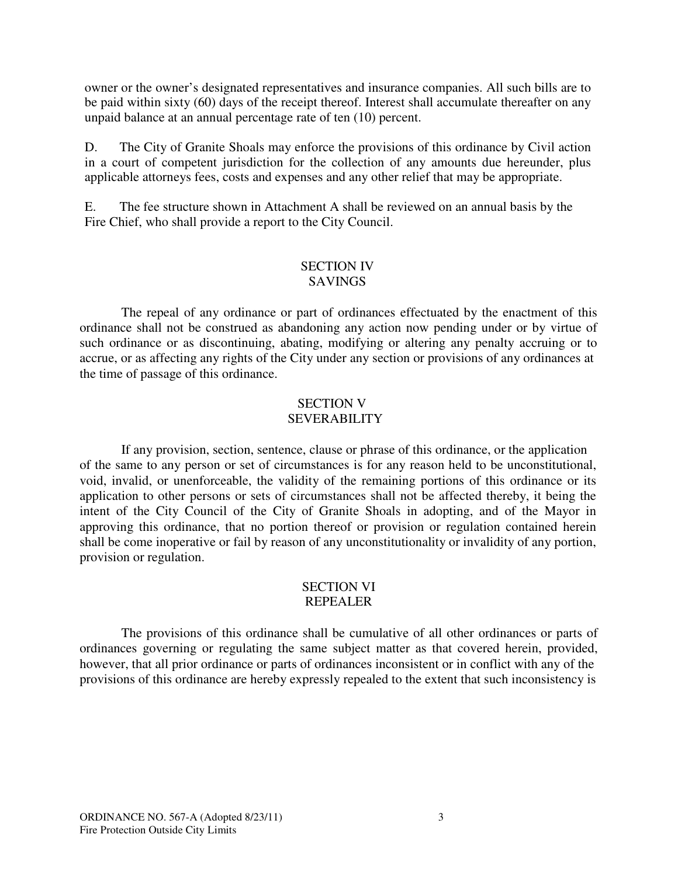owner or the owner's designated representatives and insurance companies. All such bills are to be paid within sixty (60) days of the receipt thereof. Interest shall accumulate thereafter on any unpaid balance at an annual percentage rate of ten (10) percent.

D. The City of Granite Shoals may enforce the provisions of this ordinance by Civil action in a court of competent jurisdiction for the collection of any amounts due hereunder, plus applicable attorneys fees, costs and expenses and any other relief that may be appropriate.

E. The fee structure shown in Attachment A shall be reviewed on an annual basis by the Fire Chief, who shall provide a report to the City Council.

### SECTION IV SAVINGS

The repeal of any ordinance or part of ordinances effectuated by the enactment of this ordinance shall not be construed as abandoning any action now pending under or by virtue of such ordinance or as discontinuing, abating, modifying or altering any penalty accruing or to accrue, or as affecting any rights of the City under any section or provisions of any ordinances at the time of passage of this ordinance.

### SECTION V SEVERABILITY

If any provision, section, sentence, clause or phrase of this ordinance, or the application of the same to any person or set of circumstances is for any reason held to be unconstitutional, void, invalid, or unenforceable, the validity of the remaining portions of this ordinance or its application to other persons or sets of circumstances shall not be affected thereby, it being the intent of the City Council of the City of Granite Shoals in adopting, and of the Mayor in approving this ordinance, that no portion thereof or provision or regulation contained herein shall be come inoperative or fail by reason of any unconstitutionality or invalidity of any portion, provision or regulation.

### SECTION VI REPEALER

The provisions of this ordinance shall be cumulative of all other ordinances or parts of ordinances governing or regulating the same subject matter as that covered herein, provided, however, that all prior ordinance or parts of ordinances inconsistent or in conflict with any of the provisions of this ordinance are hereby expressly repealed to the extent that such inconsistency is